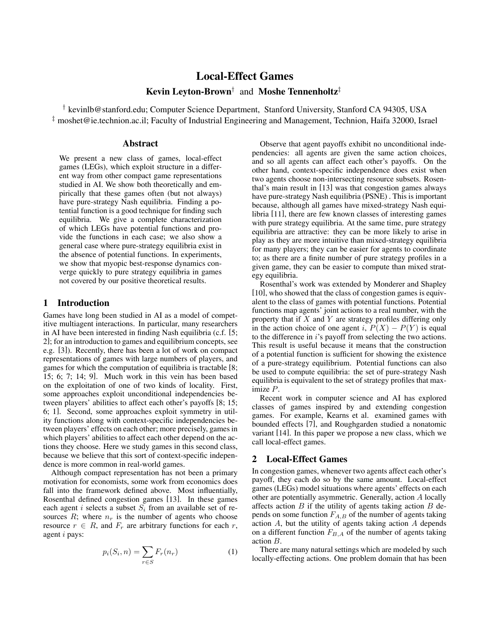# **Local-Effect Games**

**Kevin Leyton-Brown***†* and **Moshe Tennenholtz***‡*

*†* kevinlb@stanford.edu; Computer Science Department, Stanford University, Stanford CA 94305, USA *‡* moshet@ie.technion.ac.il; Faculty of Industrial Engineering and Management, Technion, Haifa 32000, Israel

## **Abstract**

We present a new class of games, local-effect games (LEGs), which exploit structure in a different way from other compact game representations studied in AI. We show both theoretically and empirically that these games often (but not always) have pure-strategy Nash equilibria. Finding a potential function is a good technique for finding such equilibria. We give a complete characterization of which LEGs have potential functions and provide the functions in each case; we also show a general case where pure-strategy equilibria exist in the absence of potential functions. In experiments, we show that myopic best-response dynamics converge quickly to pure strategy equilibria in games not covered by our positive theoretical results.

# **1 Introduction**

Games have long been studied in AI as a model of competitive multiagent interactions. In particular, many researchers in AI have been interested in finding Nash equilibria (c.f. [5; 2]; for an introduction to games and equilibrium concepts, see e.g. [3]). Recently, there has been a lot of work on compact representations of games with large numbers of players, and games for which the computation of equilibria is tractable [8; 15; 6; 7; 14; 9]. Much work in this vein has been based on the exploitation of one of two kinds of locality. First, some approaches exploit unconditional independencies between players' abilities to affect each other's payoffs [8; 15; 6; 1]. Second, some approaches exploit symmetry in utility functions along with context-specific independencies between players' effects on each other; more precisely, games in which players' abilities to affect each other depend on the actions they choose. Here we study games in this second class, because we believe that this sort of context-specific independence is more common in real-world games.

Although compact representation has not been a primary motivation for economists, some work from economics does fall into the framework defined above. Most influentially, Rosenthal defined congestion games [13]. In these games each agent i selects a subset  $S_i$  from an available set of resources  $R$ ; where  $n_r$  is the number of agents who choose resource  $r \in R$ , and  $F_r$  are arbitrary functions for each r, agent i pays:

$$
p_i(S_i, n) = \sum_{r \in S} F_r(n_r) \tag{1}
$$

Observe that agent payoffs exhibit no unconditional independencies: all agents are given the same action choices, and so all agents can affect each other's payoffs. On the other hand, context-specific independence does exist when two agents choose non-intersecting resource subsets. Rosenthal's main result in [13] was that congestion games always have pure-strategy Nash equilibria (PSNE) . This is important because, although all games have mixed-strategy Nash equilibria [11], there are few known classes of interesting games with pure strategy equilibria. At the same time, pure strategy equilibria are attractive: they can be more likely to arise in play as they are more intuitive than mixed-strategy equilibria for many players; they can be easier for agents to coordinate to; as there are a finite number of pure strategy profiles in a given game, they can be easier to compute than mixed strategy equilibria.

Rosenthal's work was extended by Monderer and Shapley [10], who showed that the class of congestion games is equivalent to the class of games with potential functions. Potential functions map agents' joint actions to a real number, with the property that if  $X$  and  $Y$  are strategy profiles differing only in the action choice of one agent i,  $P(X) - P(Y)$  is equal to the difference in i's payoff from selecting the two actions. This result is useful because it means that the construction of a potential function is sufficient for showing the existence of a pure-strategy equilibrium. Potential functions can also be used to compute equilibria: the set of pure-strategy Nash equilibria is equivalent to the set of strategy profiles that maximize P.

Recent work in computer science and AI has explored classes of games inspired by and extending congestion games. For example, Kearns et al. examined games with bounded effects [7], and Roughgarden studied a nonatomic variant [14]. In this paper we propose a new class, which we call local-effect games.

# **2 Local-Effect Games**

In congestion games, whenever two agents affect each other's payoff, they each do so by the same amount. Local-effect games (LEGs) model situations where agents' effects on each other are potentially asymmetric. Generally, action A locally affects action  $B$  if the utility of agents taking action  $B$  depends on some function  $F_{A,B}$  of the number of agents taking action  $A$ , but the utility of agents taking action  $A$  depends on a different function  $F_{B,A}$  of the number of agents taking action B.

There are many natural settings which are modeled by such locally-effecting actions. One problem domain that has been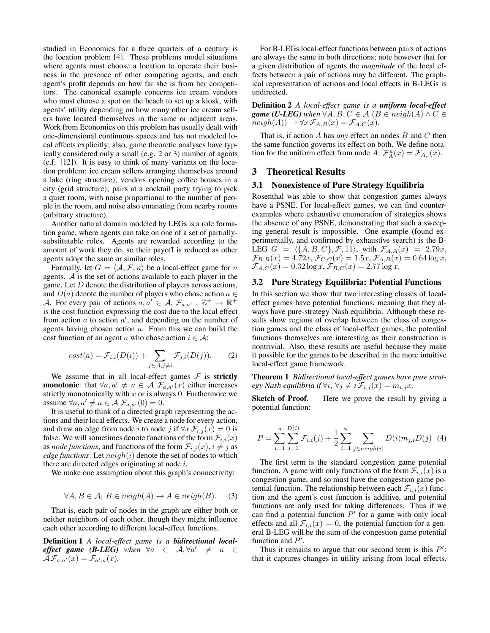studied in Economics for a three quarters of a century is the location problem [4]. These problems model situations where agents must choose a location to operate their business in the presence of other competing agents, and each agent's profit depends on how far she is from her competitors. The canonical example concerns ice cream vendors who must choose a spot on the beach to set up a kiosk, with agents' utility depending on how many other ice cream sellers have located themselves in the same or adjacent areas. Work from Economics on this problem has usually dealt with one-dimensional continuous spaces and has not modeled local effects explicitly; also, game theoretic analyses have typically considered only a small (e.g. 2 or 3) number of agents (c.f. [12]). It is easy to think of many variants on the location problem: ice cream sellers arranging themselves around a lake (ring structure); vendors opening coffee houses in a city (grid structure); pairs at a cocktail party trying to pick a quiet room, with noise proportional to the number of people in the room, and noise also emanating from nearby rooms (arbitrary structure).

Another natural domain modeled by LEGs is a role formation game, where agents can take on one of a set of partiallysubstitutable roles. Agents are rewarded according to the amount of work they do, so their payoff is reduced as other agents adopt the same or similar roles.

Formally, let  $G = \langle A, \mathcal{F}, n \rangle$  be a local-effect game for n<br>ents A is the set of actions available to each player in the agents. A is the set of actions available to each player in the game. Let  $D$  denote the distribution of players across actions, and  $D(a)$  denote the number of players who chose action  $a \in$ A. For every pair of actions  $a, a' \in A$ ,  $\mathcal{F}_{a,a'} : \mathbb{Z}^+ \to \mathbb{R}^+$ <br>is the cost function expressing the cost due to the local effect is the cost function expressing the cost due to the local effect from action a to action  $a'$ , and depending on the number of agents having chosen action a. From this we can build the agents having chosen action a. From this we can build the cost function of an agent a who chose action  $i \in \mathcal{A}$ :

$$
cost(a) = \mathcal{F}_{i,i}(D(i)) + \sum_{j \in \mathcal{A}, j \neq i} \mathcal{F}_{j,i}(D(j)).
$$
 (2)

We assume that in all local-effect games  $F$  is **strictly monotonic**: that  $\forall a, a' \neq a \in A$   $\mathcal{F}_{a,a'}(x)$  either increases strictly monotonically with x or is always 0. Furthermore we strictly monotonically with  $x$  or is always 0. Furthermore we assume  $\forall a, a' \neq a \in A$   $\mathcal{F}_{a,a'}(0) = 0$ .<br>It is useful to think of a directed gra

It is useful to think of a directed graph representing the actions and their local effects. We create a node for every action, and draw an edge from node *i* to node *j* if  $\forall x \mathcal{F}_{i,j}(x)=0$  is false. We will sometimes denote functions of the form  $\mathcal{F}_{i,i}(x)$ as *node functions*, and functions of the form  $\mathcal{F}_{i,j}(x)$ ,  $i \neq j$  as *edge functions.* Let  $neigh(i)$  denote the set of nodes to which there are directed edges originating at node  $i$ .

We make one assumption about this graph's connectivity:

$$
\forall A, B \in \mathcal{A}, B \in \mathit{neigh}(A) \to A \in \mathit{neigh}(B). \tag{3}
$$

That is, each pair of nodes in the graph are either both or neither neighbors of each other, though they might influence each other according to different local-effect functions.

**Definition 1** *A local-effect game is a bidirectional localeffect game (B-LEG)* when  $\forall a \in A, \forall a' \neq a \in A$   $\mathcal{F}_{\alpha \prec x}(x) = \mathcal{F}_{\alpha \prec x}(x)$  $\mathcal{A}\mathcal{F}_{a,a'}(x)=\mathcal{F}_{a',a}(x).$ 

For B-LEGs local-effect functions between pairs of actions are always the same in both directions; note however that for a given distribution of agents the *magnitude* of the local effects between a pair of actions may be different. The graphical representation of actions and local effects in B-LEGs is undirected.

**Definition 2** *A local-effect game is a uniform local-effect game (U-LEG)* when  $\forall A, B, C \in \mathcal{A}$  ( $B \in \mathit{neigh}(A) \land C \in$  $neigh(A)) \rightarrow \forall x \mathcal{F}_{A,B}(x) = \mathcal{F}_{A,C}(x).$ 

That is, if action A has *any* effect on nodes B and C then the same function governs its effect on both. We define notation for the uniform effect from node  $A: \mathcal{F}_A^u(x) = \mathcal{F}_{A,\cdot}(x)$ .

#### **3 Theoretical Results**

#### **3.1 Nonexistence of Pure Strategy Equilibria**

Rosenthal was able to show that congestion games always have a PSNE. For local-effect games, we can find counterexamples where exhaustive enumeration of strategies shows the absence of any PSNE, demonstrating that such a sweeping general result is impossible. One example (found experimentally, and confirmed by exhaustive search) is the B-LEG  $G = \langle \{A, B, C\}, \mathcal{F}, 11 \rangle$ , with  $\mathcal{F}_{A,A}(x) = 2.79x$ ,<br>  $\mathcal{F}_{B,B}(x) = 4.72x$ ,  $\mathcal{F}_{C,C}(x) = 1.5x$ ,  $\mathcal{F}_{A,B}(x) = 0.64 \log x$  $\mathcal{F}_{B,B}(x)=4.72x, \mathcal{F}_{C,C}(x)=1.5x, \mathcal{F}_{A,B}(x)=0.64 \log x,$  $\mathcal{F}_{A,C}(x)=0.32 \log x, \mathcal{F}_{B,C}(x)=2.77 \log x.$ 

## **3.2 Pure Strategy Equilibria: Potential Functions**

In this section we show that two interesting classes of localeffect games have potential functions, meaning that they always have pure-strategy Nash equilibria. Although these results show regions of overlap between the class of congestion games and the class of local-effect games, the potential functions themselves are interesting as their construction is nontrivial. Also, these results are useful because they make it possible for the games to be described in the more intuitive local-effect game framework.

**Theorem 1** *Bidirectional local-effect games have pure strategy Nash equilibria if*  $\forall i, \forall j \neq i$   $\mathcal{F}_{i,j}(x) = m_{i,j}x$ .<br>**Sketch of Proof.** Here we prove the result b

Here we prove the result by giving a potential function:

$$
P = \sum_{i=1}^{n} \sum_{j=1}^{D(i)} \mathcal{F}_{i,i}(j) + \frac{1}{2} \sum_{i=1}^{n} \sum_{j \in neigh(i)} D(i)m_{j,i}D(j) \tag{4}
$$

The first term is the standard congestion game potential function. A game with only functions of the form  $\mathcal{F}_{i,i}(x)$  is a congestion game, and so must have the congestion game potential function. The relationship between each  $\mathcal{F}_{i,j}(x)$  function and the agent's cost function is additive, and potential functions are only used for taking differences. Thus if we can find a potential function P' for a game with only local<br>effects and all  $\mathcal{F}_{i,j}(x) = 0$  the potential function for a geneffects and all  $\mathcal{F}_{i,i}(x)=0$ , the potential function for a general B-LEG will be the sum of the congestion game potential function and  $P'$ .<br>Thus it remains

Thus it remains to argue that our second term is this  $P'$ :<br>It it cantures changes in utility arising from local effects that it captures changes in utility arising from local effects.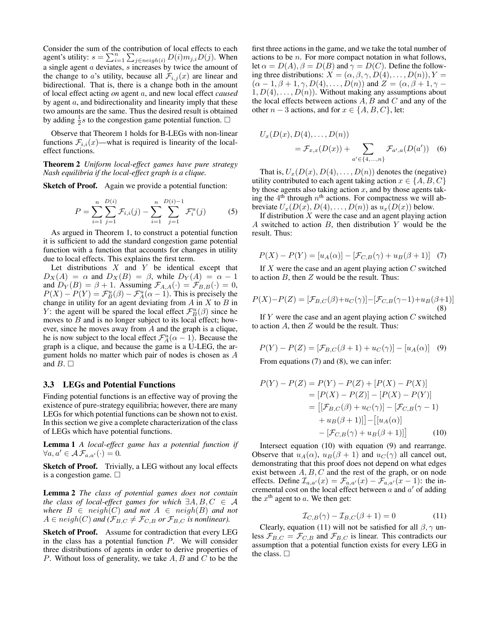Consider the sum of the contribution of local effects to each agent's utility:  $s = \sum_{i=1}^{n} \sum_{j \in neighbor(i)} D(i) m_{j,i} D(j)$ . When a single agent  $a$  deviates,  $s$  increases by twice the amount of the change to a's utility, because all  $\mathcal{F}_{i,j}(x)$  are linear and bidirectional. That is, there is a change both in the amount of local effect acting *on* agent a, and new local effect *caused* by agent a, and bidirectionality and linearity imply that these two amounts are the same. Thus the desired result is obtained by adding  $\frac{1}{2}$ *s* to the congestion game potential function.  $\Box$ 

Observe that Theorem 1 holds for B-LEGs with non-linear functions  $\mathcal{F}_{i,i}(x)$ —what is required is linearity of the localeffect functions.

**Theorem 2** *Uniform local-effect games have pure strategy Nash equilibria if the local-effect graph is a clique.*

**Sketch of Proof.** Again we provide a potential function:

$$
P = \sum_{i=1}^{n} \sum_{j=1}^{D(i)} \mathcal{F}_{i,i}(j) - \sum_{i=1}^{n} \sum_{j=1}^{D(i)-1} \mathcal{F}_{i}^{u}(j)
$$
 (5)

As argued in Theorem 1, to construct a potential function it is sufficient to add the standard congestion game potential function with a function that accounts for changes in utility due to local effects. This explains the first term.

Let distributions  $X$  and  $Y$  be identical except that  $D_X(A) = \alpha$  and  $D_X(B) = \beta$ , while  $D_Y(A) = \alpha - 1$ and  $D_Y(B) = \beta + 1$ . Assuming  $\mathcal{F}_{A,A}(\cdot) = \mathcal{F}_{B,B}(\cdot) = 0$ ,  $P(X) - P(Y) = \mathcal{F}_{B}^{u}(\beta) - \mathcal{F}_{A}^{u}(\alpha - 1)$ . This is precisely the change in utility for an agent deviating from A in X to B in change in utility for an agent deviating from  $A$  in  $X$  to  $B$  in *Y*: the agent will be spared the local effect  $\mathcal{F}_{B}^{\mu}(\beta)$  since he moves to *B* and is no longer subject to its local effect: howmoves to  $B$  and is no longer subject to its local effect; however, since he moves away from A and the graph is a clique, he is now subject to the local effect  $\mathcal{F}_{A}^{u}(\alpha - 1)$ . Because the graph is a clique, and because the game is a U-I EG, the argraph is a clique, and because the game is a U-LEG, the argument holds no matter which pair of nodes is chosen as A and  $B \square$ 

#### **3.3 LEGs and Potential Functions**

Finding potential functions is an effective way of proving the existence of pure-strategy equilibria; however, there are many LEGs for which potential functions can be shown not to exist. In this section we give a complete characterization of the class of LEGs which have potential functions.

**Lemma 1** *A local-effect game has a potential function if*  $\forall a, a' \in \mathcal{AF}_{a,a'}(\cdot) = 0.$ 

**Sketch of Proof.** Trivially, a LEG without any local effects is a congestion game.  $\square$ 

**Lemma 2** *The class of potential games does not contain the class of local-effect games for which*  $\exists A, B, C \in \mathcal{A}$ *where*  $B \in \operatorname{neigh}(C)$  *and not*  $A \in \operatorname{neigh}(B)$  *and not*  $A \in \text{neigh}(C)$  and  $(\mathcal{F}_{B,C} \neq \mathcal{F}_{C,B}$  or  $\mathcal{F}_{B,C}$  *is nonlinear*).

**Sketch of Proof.** Assume for contradiction that every LEG in the class has a potential function  $P$ . We will consider three distributions of agents in order to derive properties of P. Without loss of generality, we take  $A, B$  and  $C$  to be the first three actions in the game, and we take the total number of actions to be n. For more compact notation in what follows, let  $\alpha = D(A), \beta = D(B)$  and  $\gamma = D(C)$ . Define the following three distributions:  $X = (\alpha, \beta, \gamma, D(4), \ldots, D(n)), Y =$  $(\alpha - 1, \beta + 1, \gamma, D(4), \ldots, D(n))$  and  $Z = (\alpha, \beta + 1, \gamma 1, D(4), \ldots, D(n)$ . Without making any assumptions about the local effects between actions  $A, B$  and  $C$  and any of the other  $n-3$  actions, and for  $x \in \{A, B, C\}$ , let:

$$
U_x(D(x), D(4),...,D(n))
$$
  
=  $\mathcal{F}_{x,x}(D(x)) + \sum_{a' \in \{4,...,n\}} \mathcal{F}_{a',a}(D(a'))$  (6)

That is,  $U_x(D(x), D(4), \ldots, D(n))$  denotes the (negative) utility contributed to each agent taking action  $x \in \{A, B, C\}$ by those agents also taking action  $x$ , and by those agents taking the  $4<sup>th</sup>$  through  $n<sup>th</sup>$  actions. For compactness we will abbreviate  $U_x(D(x), D(4), \ldots, D(n))$  as  $u_x(D(x))$  below.

If distribution  $X$  were the case and an agent playing action A switched to action  $B$ , then distribution  $Y$  would be the result. Thus:

$$
P(X) - P(Y) = [u_A(\alpha)] - [\mathcal{F}_{C,B}(\gamma) + u_B(\beta + 1)] \quad (7)
$$

If  $X$  were the case and an agent playing action  $C$  switched to action  $B$ , then  $Z$  would be the result. Thus:

$$
P(X) - P(Z) = [\mathcal{F}_{B,C}(\beta) + u_C(\gamma)] - [\mathcal{F}_{C,B}(\gamma - 1) + u_B(\beta + 1)]
$$
\n(8)

If  $Y$  were the case and an agent playing action  $C$  switched to action  $A$ , then  $Z$  would be the result. Thus:

$$
P(Y) - P(Z) = [\mathcal{F}_{B,C}(\beta + 1) + u_C(\gamma)] - [u_A(\alpha)] \quad (9)
$$
  
From equations (7) and (8), we can infer:

$$
P(Y) - P(Z) = P(Y) - P(Z) + [P(X) - P(X)]
$$
  
=  $[P(X) - P(Z)] - [P(X) - P(Y)]$   
=  $[[\mathcal{F}_{B,C}(\beta) + u_C(\gamma)] - [\mathcal{F}_{C,B}(\gamma - 1) + u_B(\beta + 1)]] - [[u_A(\alpha)] - [\mathcal{F}_{C,B}(\gamma) + u_B(\beta + 1)]]$  (10)

Intersect equation (10) with equation (9) and rearrange. Observe that  $u_A(\alpha)$ ,  $u_B(\beta + 1)$  and  $u_C(\gamma)$  all cancel out, demonstrating that this proof does not depend on what edges exist between  $A, B, C$  and the rest of the graph, or on node effects. Define  $\mathcal{I}_{a,a'}(x) = \mathcal{F}_{a,a'}(x) - \mathcal{F}_{a,a'}(x-1)$ : the incremental cost on the local effect between a and a' of adding<br>the  $x^{\text{th}}$  agent to a. We then get the  $x<sup>th</sup>$  agent to  $a$ . We then get:

$$
\mathcal{I}_{C,B}(\gamma) - \mathcal{I}_{B,C}(\beta + 1) = 0
$$
\n<sup>(11)</sup>

Clearly, equation (11) will not be satisfied for all  $\beta$ ,  $\gamma$  un-<br>s  $\mathcal{F}_{R}$   $\alpha = \mathcal{F}_{C}$  and  $\mathcal{F}_{R}$   $\alpha$  is linear. This contradicts our less  $\mathcal{F}_{B,C} = \mathcal{F}_{C,B}$  and  $\mathcal{F}_{B,C}$  is linear. This contradicts our assumption that a potential function exists for every LEG in the class.  $\square$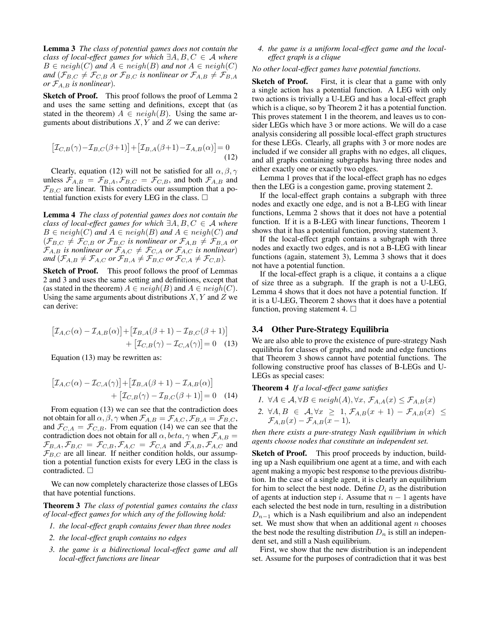**Lemma 3** *The class of potential games does not contain the class of local-effect games for which*  $\exists A, B, C \in \mathcal{A}$  *where*  $B \in \operatorname{neigh}(C)$  and  $A \in \operatorname{neigh}(B)$  and not  $A \in \operatorname{neigh}(C)$ *and*  $(\mathcal{F}_{B,C} \neq \mathcal{F}_{C,B}$  *or*  $\mathcal{F}_{B,C}$  *is nonlinear or*  $\mathcal{F}_{A,B} \neq \mathcal{F}_{B,A}$ *or*  $\mathcal{F}_{A,B}$  *is nonlinear*).

**Sketch of Proof.** This proof follows the proof of Lemma 2 and uses the same setting and definitions, except that (as stated in the theorem)  $A \in \text{neigh}(B)$ . Using the same arguments about distributions  $X, Y$  and  $Z$  we can derive:

$$
\left[\mathcal{I}_{C,B}(\gamma) - \mathcal{I}_{B,C}(\beta + 1)\right] + \left[\mathcal{I}_{B,A}(\beta + 1) - \mathcal{I}_{A,B}(\alpha)\right] = 0
$$
\n(12)

Clearly, equation (12) will not be satisfied for all  $\alpha, \beta, \gamma$ unless  $\mathcal{F}_{A,B} = \mathcal{F}_{B,A}, \mathcal{F}_{B,C} = \mathcal{F}_{C,B}$ , and both  $\mathcal{F}_{A,B}$  and  $\mathcal{F}_{B,C}$  are linear. This contradicts our assumption that a po- $\mathcal{F}_{B,C}$  are linear. This contradicts our assumption that a potential function exists for every LEG in the class. tential function exists for every LEG in the class.  $\Box$ 

**Lemma 4** *The class of potential games does not contain the class of local-effect games for which*  $\exists A, B, C \in \mathcal{A}$  *where*  $B \in \operatorname{neigh}(C)$  and  $A \in \operatorname{neigh}(B)$  and  $A \in \operatorname{neigh}(C)$  and  $(\mathcal{F}_{B,C} \neq \mathcal{F}_{C,B} \text{ or } \mathcal{F}_{B,C} \text{ is nonlinear or } \mathcal{F}_{A,B} \neq \mathcal{F}_{B,A} \text{ or }$  $\mathcal{F}_{A,B}$  *is nonlinear or*  $\mathcal{F}_{A,C} \neq \mathcal{F}_{C,A}$  *or*  $\mathcal{F}_{A,C}$  *is nonlinear*)<br>and  $(\mathcal{F}_{A,B} \neq \mathcal{F}_{A,C}$  or  $\mathcal{F}_{B,A} \neq \mathcal{F}_{B,C}$  or  $\mathcal{F}_{C,A} \neq \mathcal{F}_{C,B}$ *and*  $(\mathcal{F}_{A,B} \neq \mathcal{F}_{A,C} \text{ or } \mathcal{F}_{B,A} \neq \mathcal{F}_{B,C} \text{ or } \mathcal{F}_{C,A} \neq \mathcal{F}_{C,B})$ .

**Sketch of Proof.** This proof follows the proof of Lemmas 2 and 3 and uses the same setting and definitions, except that (as stated in the theorem)  $A \in \text{neigh}(B)$  and  $A \in \text{neigh}(C)$ . Using the same arguments about distributions  $X, Y$  and  $Z$  we can derive:

$$
\begin{aligned} \left[\mathcal{I}_{A,C}(\alpha) - \mathcal{I}_{A,B}(\alpha)\right] + \left[\mathcal{I}_{B,A}(\beta + 1) - \mathcal{I}_{B,C}(\beta + 1)\right] \\ + \left[\mathcal{I}_{C,B}(\gamma) - \mathcal{I}_{C,A}(\gamma)\right] = 0 \quad (13) \end{aligned}
$$

Equation (13) may be rewritten as:

$$
\begin{aligned} \left[\mathcal{I}_{A,C}(\alpha) - \mathcal{I}_{C,A}(\gamma)\right] + \left[\mathcal{I}_{B,A}(\beta + 1) - \mathcal{I}_{A,B}(\alpha)\right] \\ + \left[\mathcal{I}_{C,B}(\gamma) - \mathcal{I}_{B,C}(\beta + 1)\right] = 0 \end{aligned} \tag{14}
$$

From equation (13) we can see that the contradiction does not obtain for all  $\alpha$ ,  $\beta$ ,  $\gamma$  when  $\mathcal{F}_{A,B} = \mathcal{F}_{A,C}$ ,  $\mathcal{F}_{B,A} = \mathcal{F}_{B,C}$ , and  $\mathcal{F}_{C,A} = \mathcal{F}_{C,B}$ . From equation (14) we can see that the contradiction does not obtain for all  $\alpha$ , beta,  $\gamma$  when  $\mathcal{F}_{A,B}$  =  $\mathcal{F}_{B,A}, \mathcal{F}_{B,C} = \mathcal{F}_{C,B}, \mathcal{F}_{A,C} = \mathcal{F}_{C,A}$  and  $\mathcal{F}_{A,B}, \mathcal{F}_{A,C}$  and  $\mathcal{F}_{B,C}$  are all linear. If neither condition holds, our assumption a potential function exists for every LEG in the class is contradicted.  $\square$ 

We can now completely characterize those classes of LEGs that have potential functions.

**Theorem 3** *The class of potential games contains the class of local-effect games for which any of the following hold:*

- *1. the local-effect graph contains fewer than three nodes*
- *2. the local-effect graph contains no edges*
- *3. the game is a bidirectional local-effect game and all local-effect functions are linear*

*4. the game is a uniform local-effect game and the localeffect graph is a clique*

#### *No other local-effect games have potential functions.*

**Sketch of Proof.** First, it is clear that a game with only a single action has a potential function. A LEG with only two actions is trivially a U-LEG and has a local-effect graph which is a clique, so by Theorem 2 it has a potential function. This proves statement 1 in the theorem, and leaves us to consider LEGs which have 3 or more actions. We will do a case analysis considering all possible local-effect graph structures for these LEGs. Clearly, all graphs with 3 or more nodes are included if we consider all graphs with no edges, all cliques, and all graphs containing subgraphs having three nodes and either exactly one or exactly two edges.

Lemma 1 proves that if the local-effect graph has no edges then the LEG is a congestion game, proving statement 2.

If the local-effect graph contains a subgraph with three nodes and exactly one edge, and is not a B-LEG with linear functions, Lemma 2 shows that it does not have a potential function. If it is a B-LEG with linear functions, Theorem 1 shows that it has a potential function, proving statement 3.

If the local-effect graph contains a subgraph with three nodes and exactly two edges, and is not a B-LEG with linear functions (again, statement 3), Lemma 3 shows that it does not have a potential function.

If the local-effect graph is a clique, it contains a a clique of size three as a subgraph. If the graph is not a U-LEG, Lemma 4 shows that it does not have a potential function. If it is a U-LEG, Theorem 2 shows that it does have a potential function, proving statement 4.  $\Box$ 

## **3.4 Other Pure-Strategy Equilibria**

We are also able to prove the existence of pure-strategy Nash equilibria for classes of graphs, and node and edge functions that Theorem 3 shows cannot have potential functions. The following constructive proof has classes of B-LEGs and U-LEGs as special cases:

**Theorem 4** *If a local-effect game satisfies*

*I.* ∀ $A \in \mathcal{A}, \forall B \in \text{neigh}(A), \forall x, \mathcal{F}_{A,A}(x) \leq \mathcal{F}_{A,B}(x)$ 2.  $\forall A, B \in \mathcal{A}, \forall x \geq 1, \mathcal{F}_{A,B}(x+1) - \mathcal{F}_{A,B}(x) \leq$  $\mathcal{F}_{A,B}(x) - \mathcal{F}_{A,B}(x-1),$ 

*then there exists a pure-strategy Nash equilibrium in which agents choose nodes that constitute an independent set.*

**Sketch of Proof.** This proof proceeds by induction, building up a Nash equilibrium one agent at a time, and with each agent making a myopic best response to the previous distribution. In the case of a single agent, it is clearly an equilibrium for him to select the best node. Define  $D_i$  as the distribution of agents at induction step i. Assume that  $n - 1$  agents have each selected the best node in turn, resulting in a distribution  $D_{n-1}$  which is a Nash equilibrium and also an independent set. We must show that when an additional agent  $n$  chooses the best node the resulting distribution  $D_n$  is still an independent set, and still a Nash equilibrium.

First, we show that the new distribution is an independent set. Assume for the purposes of contradiction that it was best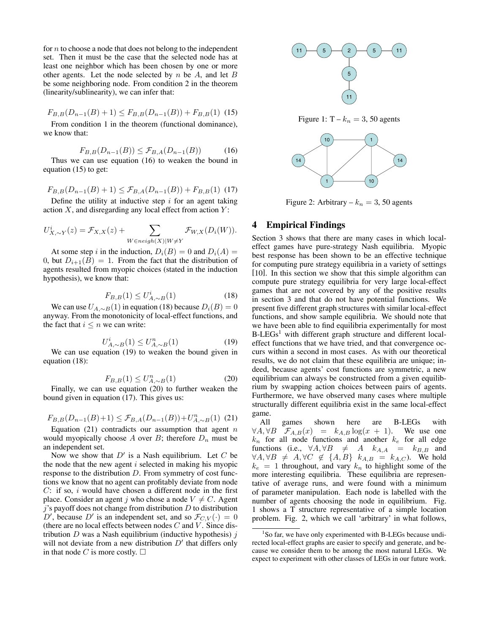for  $n$  to choose a node that does not belong to the independent set. Then it must be the case that the selected node has at least one neighbor which has been chosen by one or more other agents. Let the node selected by  $n$  be  $A$ , and let  $B$ be some neighboring node. From condition 2 in the theorem (linearity/sublinearity), we can infer that:

$$
F_{B,B}(D_{n-1}(B) + 1) \le F_{B,B}(D_{n-1}(B)) + F_{B,B}(1)
$$
 (15)

 $F_{B,B}(D_{n-1}(B) + 1) \leq F_{B,B}(D_{n-1}(B)) + F_{B,B}(1)$  (15)<br>From condition 1 in the theorem (functional dominance), we know that:

$$
F_{B,B}(D_{n-1}(B)) \le \mathcal{F}_{B,A}(D_{n-1}(B))
$$
 (16)

 $F_{B,B}(D_{n-1}(B)) \leq \mathcal{F}_{B,A}(D_{n-1}(B))$  (16)<br>Thus we can use equation (16) to weaken the bound in equation (15) to get:

$$
F_{B,B}(D_{n-1}(B) + 1) \leq \mathcal{F}_{B,A}(D_{n-1}(B)) + F_{B,B}(1)
$$
 (17)

Define the utility at inductive step i for an agent taking<br>tion X and disregarding any local effect from action  $Y$ . action  $X$ , and disregarding any local effect from action  $Y$ :

$$
U_{X,\sim Y}^{i}(z) = \mathcal{F}_{X,X}(z) + \sum_{W \in \text{neigh}(X)|W \neq Y} \mathcal{F}_{W,X}(D_i(W)).
$$

At some step i in the induction,  $D_i(B)=0$  and  $D_i(A)$  = 0, but  $D_{i+1}(B)=1$ . From the fact that the distribution of agents resulted from myopic choices (stated in the induction hypothesis), we know that:

$$
F_{B,B}(1) \le U_{A,\sim B}^i(1)
$$
\n(18)

We can use  $U_{A,\sim B}(1)$  in equation (18) because  $D_i(B)=0$ <br>wway. From the monotonicity of local-effect functions, and anyway. From the monotonicity of local-effect functions, and the fact that  $i \leq n$  we can write:

$$
U_{A,\sim B}^{i}(1) \le U_{A,\sim B}^{n}(1) \tag{19}
$$

 $U^i_{A,\sim B}(1) \leq U^n_{A,\sim B}(1)$  (19)<br>We can use equation (19) to weaken the bound given in equation (18):

$$
F_{B,B}(1) \le U_{A,\sim B}^n(1) \tag{20}
$$

 $F_{B,B}(1) \le U_{A,\sim B}^n(1)$  (20)<br>Finally, we can use equation (20) to further weaken the bound given in equation (17). This gives us:

$$
F_{B,B}(D_{n-1}(B)+1) \leq \mathcal{F}_{B,A}(D_{n-1}(B))+U_{A,\sim B}^n(1)
$$
 (21)

Equation (21) contradicts our assumption that agent n<br>build myonically choose A over B: therefore  $D<sub>n</sub>$  must be would myopically choose A over B; therefore  $D_n$  must be an independent set.

Now we show that  $D'$  is a Nash equilibrium. Let C be node that the new agent i selected in making his myonic the node that the new agent  $i$  selected in making his myopic response to the distribution D. From symmetry of cost functions we know that no agent can profitably deviate from node  $C:$  if so, i would have chosen a different node in the first place. Consider an agent j who chose a node  $V \neq C$ . Agent j's payoff does not change from distribution D to distribution j's payoff does not change from distribution D to distribution  $D'$  because  $D'$  is an independent set and so  $\mathcal{F}_{C,V}(\cdot) = 0$ D', because D' is an independent set, and so  $\mathcal{F}_{C,V}(\cdot) = 0$ <br>(there are no local effects between nodes C and V. Since dis-(there are no local effects between nodes  $C$  and  $V$ . Since distribution  $D$  was a Nash equilibrium (inductive hypothesis)  $j$ will not deviate from a new distribution  $D'$  that differs only in that node C is more costly  $\Box$ in that node C is more costly.  $\square$ 



Figure 1:  $T - k_n = 3$ , 50 agents



Figure 2: Arbitrary –  $k_n = 3, 50$  agents

# **4 Empirical Findings**

Section 3 shows that there are many cases in which localeffect games have pure-strategy Nash equilibria. Myopic best response has been shown to be an effective technique for computing pure strategy equilibria in a variety of settings [10]. In this section we show that this simple algorithm can compute pure strategy equilibria for very large local-effect games that are not covered by any of the positive results in section 3 and that do not have potential functions. We present five different graph structures with similar local-effect functions, and show sample equilibria. We should note that we have been able to find equilibria experimentally for most  $B-LEGs<sup>1</sup>$  with different graph structure and different localeffect functions that we have tried, and that convergence occurs within a second in most cases. As with our theoretical results, we do not claim that these equilibria are unique; indeed, because agents' cost functions are symmetric, a new equilibrium can always be constructed from a given equilibrium by swapping action choices between pairs of agents. Furthermore, we have observed many cases where multiple structurally different equilibria exist in the same local-effect game.

All games shown here are B-LEGs with  $\forall A, \forall B$   $\mathcal{F}_{A,B}(x) = k_{A,B} \log(x+1)$ . We use one  $k_n$  for all node functions and another  $k_e$  for all edge functions (i.e.,  $\forall A, \forall B \neq A$   $k_{A,A} = k_{B,B}$  and  $\forall A, \forall B \neq A, \forall C \notin \{A, B\}$   $k_{A,B} = k_{A,C}$ ). We hold  $k_e = 1$  throughout, and vary  $k_n$  to highlight some of the more interesting equilibria. These equilibria are representative of average runs, and were found with a minimum of parameter manipulation. Each node is labelled with the number of agents choosing the node in equilibrium. Fig. 1 shows a T structure representative of a simple location problem. Fig. 2, which we call 'arbitrary' in what follows,

<sup>&</sup>lt;sup>1</sup>So far, we have only experimented with B-LEGs because undirected local-effect graphs are easier to specify and generate, and because we consider them to be among the most natural LEGs. We expect to experiment with other classes of LEGs in our future work.